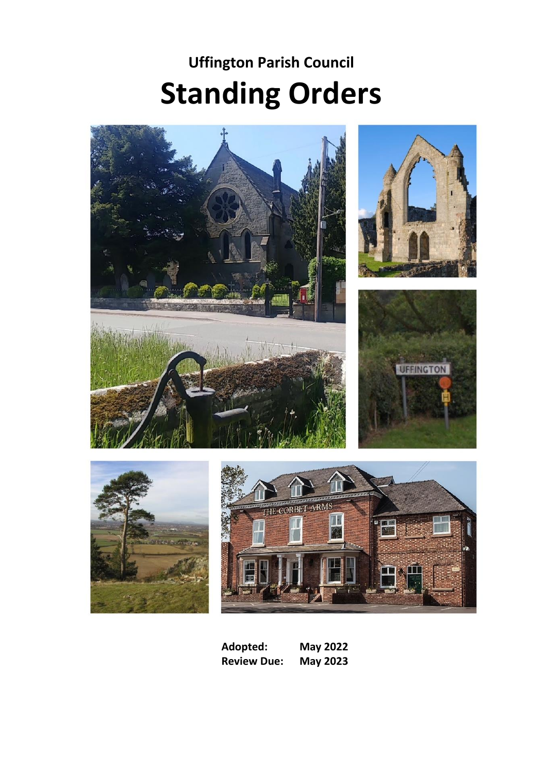# **Uffington Parish Council Standing Orders**











**Adopted: May 2022 Review Due:**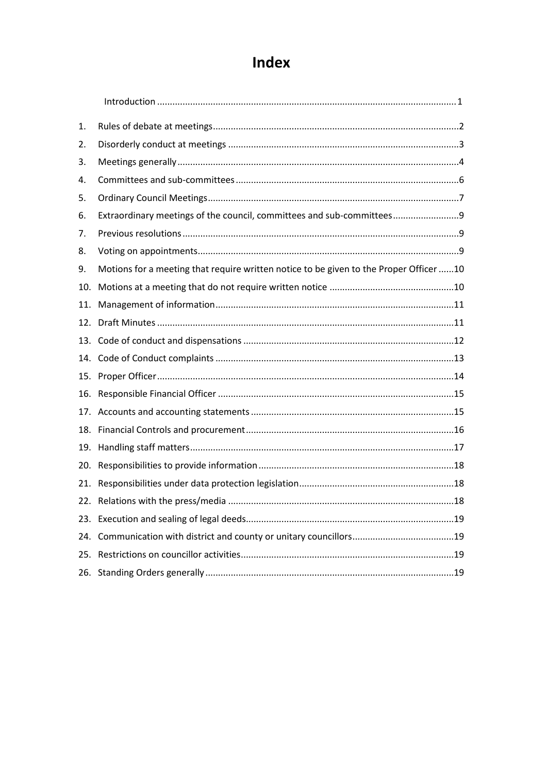# Index

| 1.  |                                                                                        |  |
|-----|----------------------------------------------------------------------------------------|--|
| 2.  |                                                                                        |  |
| 3.  |                                                                                        |  |
| 4.  |                                                                                        |  |
| 5.  |                                                                                        |  |
| 6.  | Extraordinary meetings of the council, committees and sub-committees9                  |  |
| 7.  |                                                                                        |  |
| 8.  |                                                                                        |  |
| 9.  | Motions for a meeting that require written notice to be given to the Proper Officer 10 |  |
| 10. |                                                                                        |  |
| 11. |                                                                                        |  |
| 12. |                                                                                        |  |
|     |                                                                                        |  |
|     |                                                                                        |  |
| 15. |                                                                                        |  |
| 16. |                                                                                        |  |
|     |                                                                                        |  |
| 18. |                                                                                        |  |
| 19. |                                                                                        |  |
| 20. |                                                                                        |  |
| 21. |                                                                                        |  |
| 22. |                                                                                        |  |
| 23. |                                                                                        |  |
| 24. |                                                                                        |  |
| 25. |                                                                                        |  |
|     |                                                                                        |  |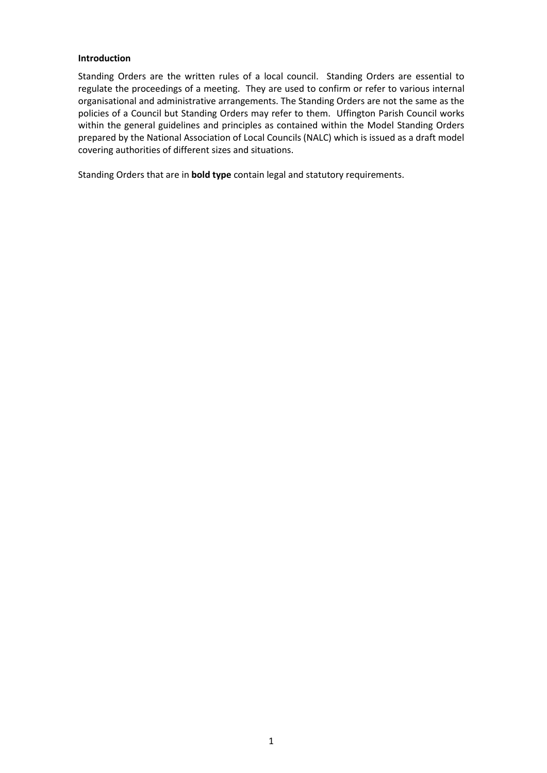#### **Introduction**

Standing Orders are the written rules of a local council. Standing Orders are essential to regulate the proceedings of a meeting. They are used to confirm or refer to various internal organisational and administrative arrangements. The Standing Orders are not the same as the policies of a Council but Standing Orders may refer to them. Uffington Parish Council works within the general guidelines and principles as contained within the Model Standing Orders prepared by the National Association of Local Councils (NALC) which is issued as a draft model covering authorities of different sizes and situations.

Standing Orders that are in **bold type** contain legal and statutory requirements.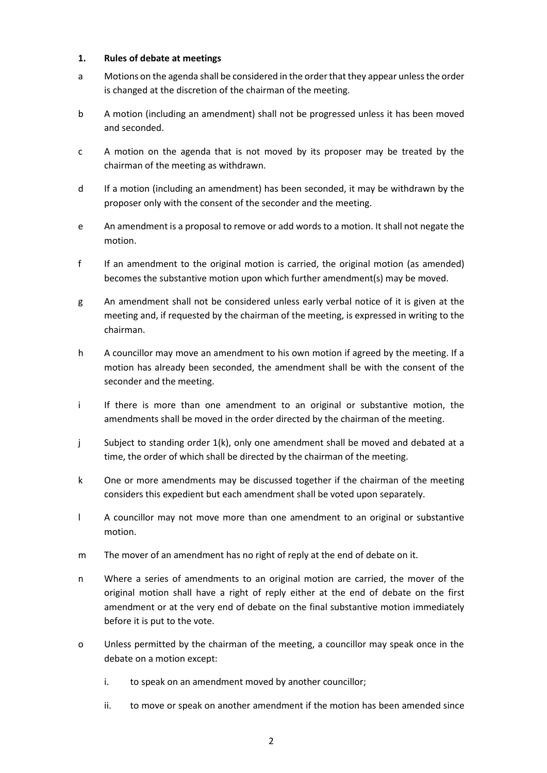#### <span id="page-3-0"></span>**1. Rules of debate at meetings**

- a Motions on the agenda shall be considered in the order that they appear unless the order is changed at the discretion of the chairman of the meeting.
- b A motion (including an amendment) shall not be progressed unless it has been moved and seconded.
- c A motion on the agenda that is not moved by its proposer may be treated by the chairman of the meeting as withdrawn.
- d If a motion (including an amendment) has been seconded, it may be withdrawn by the proposer only with the consent of the seconder and the meeting.
- e An amendment is a proposal to remove or add words to a motion. It shall not negate the motion.
- f If an amendment to the original motion is carried, the original motion (as amended) becomes the substantive motion upon which further amendment(s) may be moved.
- g An amendment shall not be considered unless early verbal notice of it is given at the meeting and, if requested by the chairman of the meeting, is expressed in writing to the chairman.
- h A councillor may move an amendment to his own motion if agreed by the meeting. If a motion has already been seconded, the amendment shall be with the consent of the seconder and the meeting.
- i If there is more than one amendment to an original or substantive motion, the amendments shall be moved in the order directed by the chairman of the meeting.
- j Subject to standing order 1(k), only one amendment shall be moved and debated at a time, the order of which shall be directed by the chairman of the meeting.
- k One or more amendments may be discussed together if the chairman of the meeting considers this expedient but each amendment shall be voted upon separately.
- l A councillor may not move more than one amendment to an original or substantive motion.
- m The mover of an amendment has no right of reply at the end of debate on it.
- n Where a series of amendments to an original motion are carried, the mover of the original motion shall have a right of reply either at the end of debate on the first amendment or at the very end of debate on the final substantive motion immediately before it is put to the vote.
- o Unless permitted by the chairman of the meeting, a councillor may speak once in the debate on a motion except:
	- i. to speak on an amendment moved by another councillor;
	- ii. to move or speak on another amendment if the motion has been amended since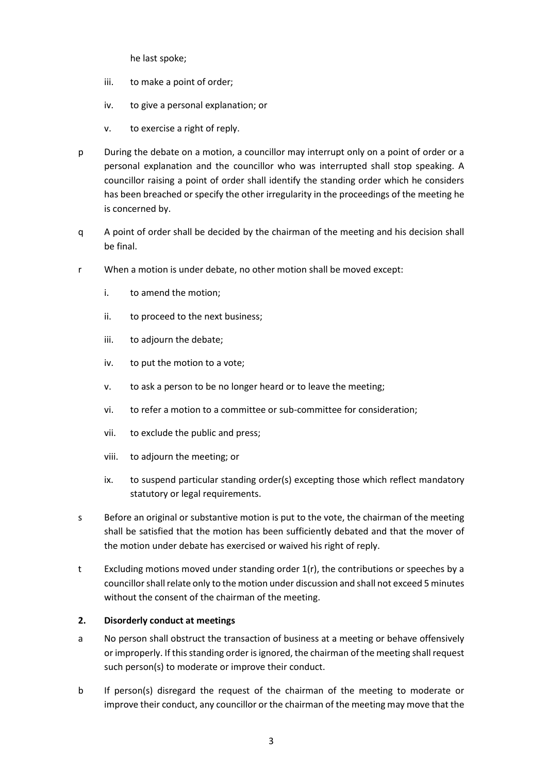he last spoke;

- iii. to make a point of order;
- iv. to give a personal explanation; or
- v. to exercise a right of reply.
- p During the debate on a motion, a councillor may interrupt only on a point of order or a personal explanation and the councillor who was interrupted shall stop speaking. A councillor raising a point of order shall identify the standing order which he considers has been breached or specify the other irregularity in the proceedings of the meeting he is concerned by.
- q A point of order shall be decided by the chairman of the meeting and his decision shall be final.
- r When a motion is under debate, no other motion shall be moved except:
	- i. to amend the motion;
	- ii. to proceed to the next business;
	- iii. to adjourn the debate;
	- iv. to put the motion to a vote;
	- v. to ask a person to be no longer heard or to leave the meeting;
	- vi. to refer a motion to a committee or sub-committee for consideration;
	- vii. to exclude the public and press;
	- viii. to adjourn the meeting; or
	- ix. to suspend particular standing order(s) excepting those which reflect mandatory statutory or legal requirements.
- s Before an original or substantive motion is put to the vote, the chairman of the meeting shall be satisfied that the motion has been sufficiently debated and that the mover of the motion under debate has exercised or waived his right of reply.
- t Excluding motions moved under standing order 1(r), the contributions or speeches by a councillor shall relate only to the motion under discussion and shall not exceed 5 minutes without the consent of the chairman of the meeting.

#### <span id="page-4-0"></span>**2. Disorderly conduct at meetings**

- a No person shall obstruct the transaction of business at a meeting or behave offensively or improperly. If this standing order is ignored, the chairman of the meeting shall request such person(s) to moderate or improve their conduct.
- b If person(s) disregard the request of the chairman of the meeting to moderate or improve their conduct, any councillor or the chairman of the meeting may move that the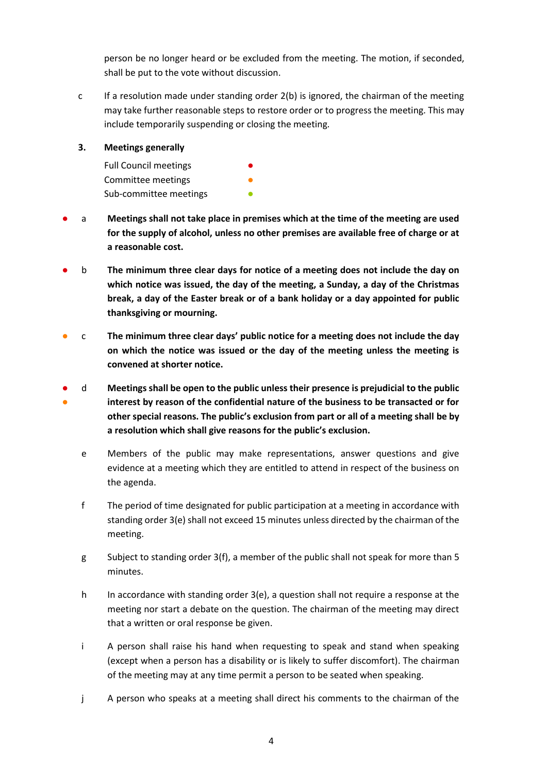person be no longer heard or be excluded from the meeting. The motion, if seconded, shall be put to the vote without discussion.

c If a resolution made under standing order 2(b) is ignored, the chairman of the meeting may take further reasonable steps to restore order or to progress the meeting. This may include temporarily suspending or closing the meeting.

#### <span id="page-5-0"></span>**3. Meetings generally**

| <b>Full Council meetings</b> | $\bullet$ |
|------------------------------|-----------|
| Committee meetings           | O         |
| Sub-committee meetings       | Ω         |

- a Meetings shall not take place in premises which at the time of the meeting are used **for the supply of alcohol, unless no other premises are available free of charge or at a reasonable cost.**
- b **The minimum three clear days for notice of a meeting does not include the day on which notice was issued, the day of the meeting, a Sunday, a day of the Christmas break, a day of the Easter break or of a bank holiday or a day appointed for public thanksgiving or mourning.**
- c **The minimum three clear days' public notice for a meeting does not include the day on which the notice was issued or the day of the meeting unless the meeting is convened at shorter notice.**
- ● d **Meetings shall be open to the public unless their presence is prejudicial to the public interest by reason of the confidential nature of the business to be transacted or for other special reasons. The public's exclusion from part or all of a meeting shall be by a resolution which shall give reasons for the public's exclusion.**
	- e Members of the public may make representations, answer questions and give evidence at a meeting which they are entitled to attend in respect of the business on the agenda.
	- f The period of time designated for public participation at a meeting in accordance with standing order 3(e) shall not exceed 15 minutes unless directed by the chairman of the meeting.
	- g Subject to standing order 3(f), a member of the public shall not speak for more than 5 minutes.
	- h In accordance with standing order 3(e), a question shall not require a response at the meeting nor start a debate on the question. The chairman of the meeting may direct that a written or oral response be given.
	- i A person shall raise his hand when requesting to speak and stand when speaking (except when a person has a disability or is likely to suffer discomfort). The chairman of the meeting may at any time permit a person to be seated when speaking.
	- j A person who speaks at a meeting shall direct his comments to the chairman of the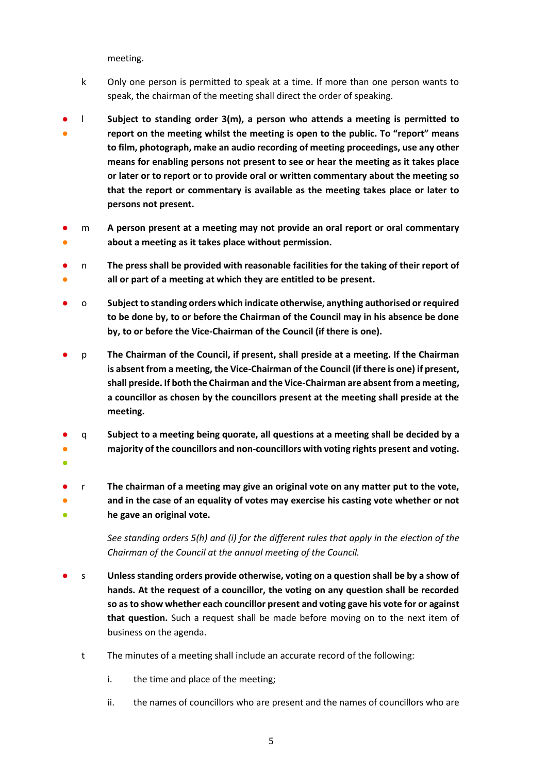meeting.

- k Only one person is permitted to speak at a time. If more than one person wants to speak, the chairman of the meeting shall direct the order of speaking.
- ● l **Subject to standing order 3(m), a person who attends a meeting is permitted to report on the meeting whilst the meeting is open to the public. To "report" means to film, photograph, make an audio recording of meeting proceedings, use any other means for enabling persons not present to see or hear the meeting as it takes place or later or to report or to provide oral or written commentary about the meeting so that the report or commentary is available as the meeting takes place or later to persons not present.**
- ● m **A person present at a meeting may not provide an oral report or oral commentary about a meeting as it takes place without permission.**
- ● n **The press shall be provided with reasonable facilities for the taking of their report of all or part of a meeting at which they are entitled to be present.**
- o **Subject to standing orders which indicate otherwise, anything authorised or required to be done by, to or before the Chairman of the Council may in his absence be done by, to or before the Vice-Chairman of the Council (if there is one).**
- p **The Chairman of the Council, if present, shall preside at a meeting. If the Chairman is absent from a meeting, the Vice-Chairman of the Council (if there is one) if present, shall preside. If both the Chairman and the Vice-Chairman are absent from a meeting, a councillor as chosen by the councillors present at the meeting shall preside at the meeting.**
- q **Subject to a meeting being quorate, all questions at a meeting shall be decided by a**
- ● **majority of the councillors and non-councillors with voting rights present and voting.**
- ● ● r **The chairman of a meeting may give an original vote on any matter put to the vote, and in the case of an equality of votes may exercise his casting vote whether or not he gave an original vote.**

*See standing orders 5(h) and (i) for the different rules that apply in the election of the Chairman of the Council at the annual meeting of the Council.*

- s **Unless standing orders provide otherwise, voting on a question shall be by a show of hands. At the request of a councillor, the voting on any question shall be recorded so as to show whether each councillor present and voting gave his vote for or against that question.** Such a request shall be made before moving on to the next item of business on the agenda.
	- t The minutes of a meeting shall include an accurate record of the following:
		- i. the time and place of the meeting;
		- ii. the names of councillors who are present and the names of councillors who are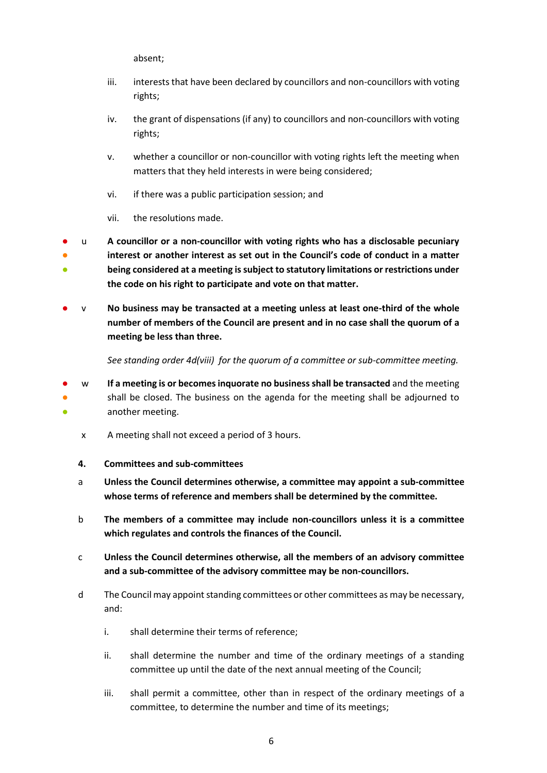absent;

- iii. interests that have been declared by councillors and non-councillors with voting rights;
- iv. the grant of dispensations (if any) to councillors and non-councillors with voting rights;
- v. whether a councillor or non-councillor with voting rights left the meeting when matters that they held interests in were being considered;
- vi. if there was a public participation session; and
- vii. the resolutions made.
- ● ● u **A councillor or a non-councillor with voting rights who has a disclosable pecuniary interest or another interest as set out in the Council's code of conduct in a matter being considered at a meeting is subject to statutory limitations or restrictions under the code on his right to participate and vote on that matter.**
- v **No business may be transacted at a meeting unless at least one-third of the whole number of members of the Council are present and in no case shall the quorum of a meeting be less than three.**

*See standing order 4d(viii) for the quorum of a committee or sub-committee meeting.* 

- <span id="page-7-0"></span>● ● ● w **If a meeting is or becomes inquorate no business shall be transacted** and the meeting shall be closed. The business on the agenda for the meeting shall be adjourned to another meeting.
	- x A meeting shall not exceed a period of 3 hours.
	- **4. Committees and sub-committees**
	- a **Unless the Council determines otherwise, a committee may appoint a sub-committee whose terms of reference and members shall be determined by the committee.**
	- b **The members of a committee may include non-councillors unless it is a committee which regulates and controls the finances of the Council.**
	- c **Unless the Council determines otherwise, all the members of an advisory committee and a sub-committee of the advisory committee may be non-councillors.**
	- d The Council may appoint standing committees or other committees as may be necessary, and:
		- i. shall determine their terms of reference;
		- ii. shall determine the number and time of the ordinary meetings of a standing committee up until the date of the next annual meeting of the Council;
		- iii. shall permit a committee, other than in respect of the ordinary meetings of a committee, to determine the number and time of its meetings;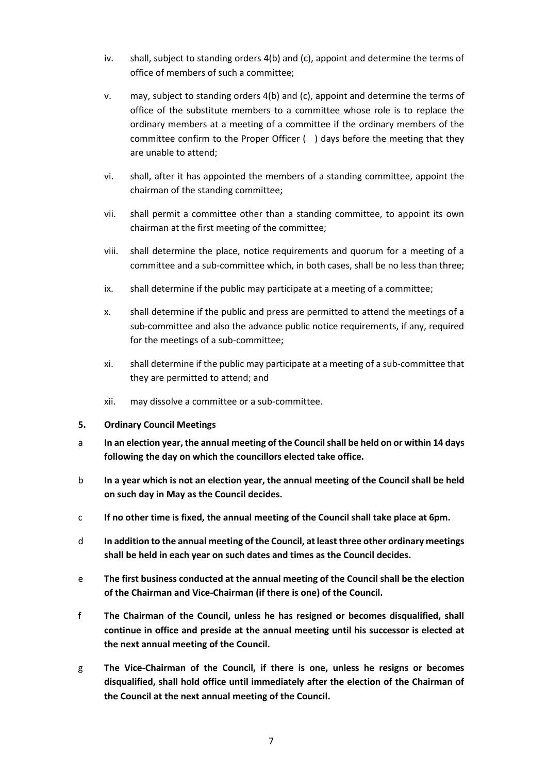- iv. shall, subject to standing orders 4(b) and (c), appoint and determine the terms of office of members of such a committee;
- v. may, subject to standing orders 4(b) and (c), appoint and determine the terms of office of the substitute members to a committee whose role is to replace the ordinary members at a meeting of a committee if the ordinary members of the committee confirm to the Proper Officer ( ) days before the meeting that they are unable to attend;
- vi. shall, after it has appointed the members of a standing committee, appoint the chairman of the standing committee;
- vii. shall permit a committee other than a standing committee, to appoint its own chairman at the first meeting of the committee;
- viii. shall determine the place, notice requirements and quorum for a meeting of a committee and a sub-committee which, in both cases, shall be no less than three;
- ix. shall determine if the public may participate at a meeting of a committee;
- x. shall determine if the public and press are permitted to attend the meetings of a sub-committee and also the advance public notice requirements, if any, required for the meetings of a sub-committee;
- xi. shall determine if the public may participate at a meeting of a sub-committee that they are permitted to attend; and
- xii. may dissolve a committee or a sub-committee.
- <span id="page-8-0"></span>**5. Ordinary Council Meetings**
- a **In an election year, the annual meeting of the Council shall be held on or within 14 days following the day on which the councillors elected take office.**
- b **In a year which is not an election year, the annual meeting of the Council shall be held on such day in May as the Council decides.**
- c **If no other time is fixed, the annual meeting of the Council shall take place at 6pm.**
- d **In addition to the annual meeting of the Council, at least three other ordinary meetings shall be held in each year on such dates and times as the Council decides.**
- e **The first business conducted at the annual meeting of the Council shall be the election of the Chairman and Vice-Chairman (if there is one) of the Council.**
- f **The Chairman of the Council, unless he has resigned or becomes disqualified, shall continue in office and preside at the annual meeting until his successor is elected at the next annual meeting of the Council.**
- g **The Vice-Chairman of the Council, if there is one, unless he resigns or becomes disqualified, shall hold office until immediately after the election of the Chairman of the Council at the next annual meeting of the Council.**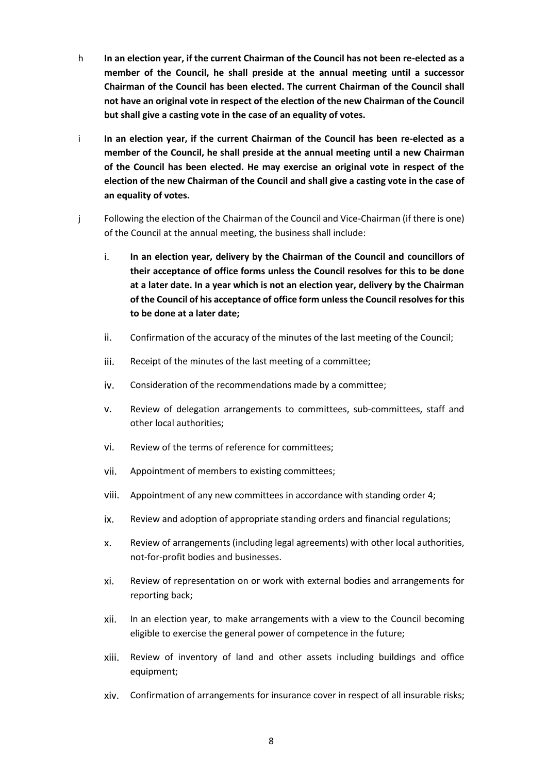- h **In an election year, if the current Chairman of the Council has not been re-elected as a member of the Council, he shall preside at the annual meeting until a successor Chairman of the Council has been elected. The current Chairman of the Council shall not have an original vote in respect of the election of the new Chairman of the Council but shall give a casting vote in the case of an equality of votes.**
- i **In an election year, if the current Chairman of the Council has been re-elected as a member of the Council, he shall preside at the annual meeting until a new Chairman of the Council has been elected. He may exercise an original vote in respect of the election of the new Chairman of the Council and shall give a casting vote in the case of an equality of votes.**
- j Following the election of the Chairman of the Council and Vice-Chairman (if there is one) of the Council at the annual meeting, the business shall include:
	- i. **In an election year, delivery by the Chairman of the Council and councillors of their acceptance of office forms unless the Council resolves for this to be done at a later date. In a year which is not an election year, delivery by the Chairman of the Council of his acceptance of office form unless the Council resolves for this to be done at a later date;**
	- ii. Confirmation of the accuracy of the minutes of the last meeting of the Council;
	- iii. Receipt of the minutes of the last meeting of a committee;
	- iv. Consideration of the recommendations made by a committee;
	- v. Review of delegation arrangements to committees, sub-committees, staff and other local authorities;
	- vi. Review of the terms of reference for committees;
	- vii. Appointment of members to existing committees;
	- viii. Appointment of any new committees in accordance with standing order 4;
	- ix. Review and adoption of appropriate standing orders and financial regulations;
	- x. Review of arrangements (including legal agreements) with other local authorities, not-for-profit bodies and businesses.
	- xi. Review of representation on or work with external bodies and arrangements for reporting back;
	- xii. In an election year, to make arrangements with a view to the Council becoming eligible to exercise the general power of competence in the future;
	- xiii. Review of inventory of land and other assets including buildings and office equipment;
	- xiv. Confirmation of arrangements for insurance cover in respect of all insurable risks;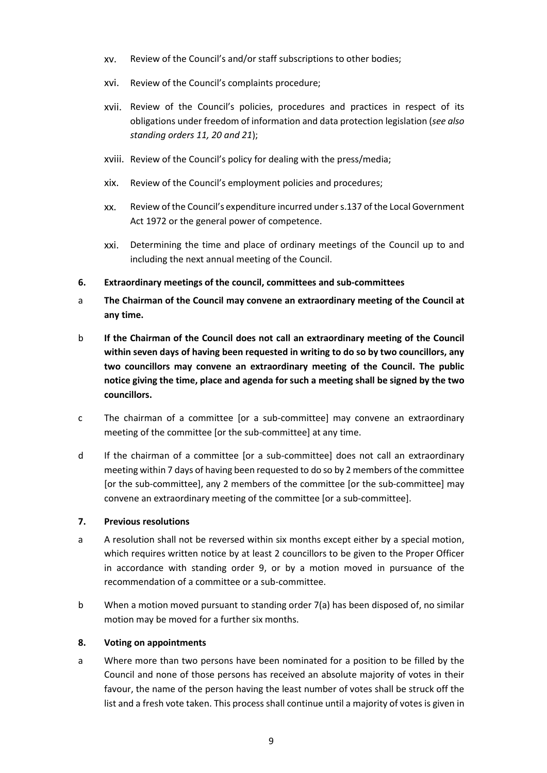- xv. Review of the Council's and/or staff subscriptions to other bodies;
- xvi. Review of the Council's complaints procedure;
- xvii. Review of the Council's policies, procedures and practices in respect of its obligations under freedom of information and data protection legislation (*see also standing orders 11, 20 and 21*);
- xviii. Review of the Council's policy for dealing with the press/media;
- xix. Review of the Council's employment policies and procedures;
- xx. Review of the Council's expenditure incurred under s.137 of the Local Government Act 1972 or the general power of competence.
- xxi. Determining the time and place of ordinary meetings of the Council up to and including the next annual meeting of the Council.
- <span id="page-10-0"></span>**6. Extraordinary meetings of the council, committees and sub-committees**
- a **The Chairman of the Council may convene an extraordinary meeting of the Council at any time.**
- b **If the Chairman of the Council does not call an extraordinary meeting of the Council within seven days of having been requested in writing to do so by two councillors, any two councillors may convene an extraordinary meeting of the Council. The public notice giving the time, place and agenda for such a meeting shall be signed by the two councillors.**
- c The chairman of a committee [or a sub-committee] may convene an extraordinary meeting of the committee [or the sub-committee] at any time.
- d If the chairman of a committee [or a sub-committee] does not call an extraordinary meeting within 7 days of having been requested to do so by 2 members of the committee [or the sub-committee], any 2 members of the committee [or the sub-committee] may convene an extraordinary meeting of the committee [or a sub-committee].

#### <span id="page-10-1"></span>**7. Previous resolutions**

- a A resolution shall not be reversed within six months except either by a special motion, which requires written notice by at least 2 councillors to be given to the Proper Officer in accordance with standing order 9, or by a motion moved in pursuance of the recommendation of a committee or a sub-committee.
- b When a motion moved pursuant to standing order 7(a) has been disposed of, no similar motion may be moved for a further six months.

#### <span id="page-10-2"></span>**8. Voting on appointments**

a Where more than two persons have been nominated for a position to be filled by the Council and none of those persons has received an absolute majority of votes in their favour, the name of the person having the least number of votes shall be struck off the list and a fresh vote taken. This process shall continue until a majority of votes is given in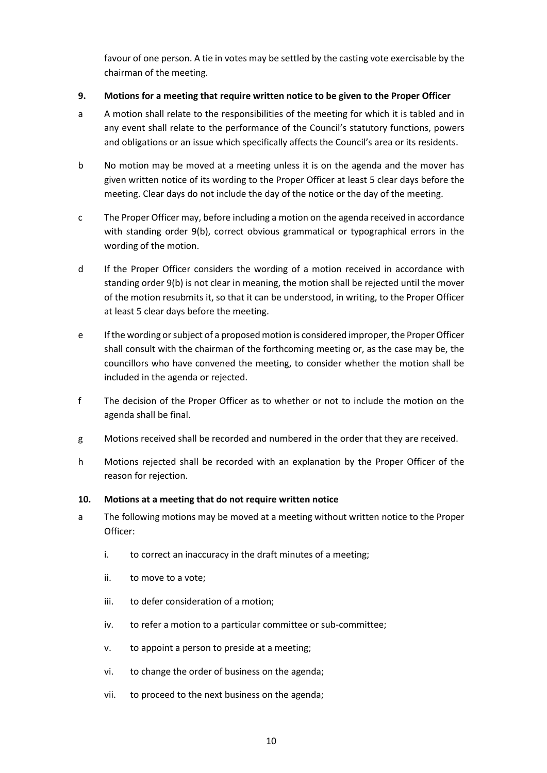favour of one person. A tie in votes may be settled by the casting vote exercisable by the chairman of the meeting.

#### <span id="page-11-0"></span>**9. Motions for a meeting that require written notice to be given to the Proper Officer**

- a A motion shall relate to the responsibilities of the meeting for which it is tabled and in any event shall relate to the performance of the Council's statutory functions, powers and obligations or an issue which specifically affects the Council's area or its residents.
- b No motion may be moved at a meeting unless it is on the agenda and the mover has given written notice of its wording to the Proper Officer at least 5 clear days before the meeting. Clear days do not include the day of the notice or the day of the meeting.
- c The Proper Officer may, before including a motion on the agenda received in accordance with standing order 9(b), correct obvious grammatical or typographical errors in the wording of the motion.
- d If the Proper Officer considers the wording of a motion received in accordance with standing order 9(b) is not clear in meaning, the motion shall be rejected until the mover of the motion resubmits it, so that it can be understood, in writing, to the Proper Officer at least 5 clear days before the meeting.
- e If the wording or subject of a proposed motion is considered improper, the Proper Officer shall consult with the chairman of the forthcoming meeting or, as the case may be, the councillors who have convened the meeting, to consider whether the motion shall be included in the agenda or rejected.
- f The decision of the Proper Officer as to whether or not to include the motion on the agenda shall be final.
- g Motions received shall be recorded and numbered in the order that they are received.
- h Motions rejected shall be recorded with an explanation by the Proper Officer of the reason for rejection.

#### <span id="page-11-1"></span>**10. Motions at a meeting that do not require written notice**

- a The following motions may be moved at a meeting without written notice to the Proper Officer:
	- i. to correct an inaccuracy in the draft minutes of a meeting;
	- ii. to move to a vote;
	- iii. to defer consideration of a motion;
	- iv. to refer a motion to a particular committee or sub-committee;
	- v. to appoint a person to preside at a meeting;
	- vi. to change the order of business on the agenda;
	- vii. to proceed to the next business on the agenda;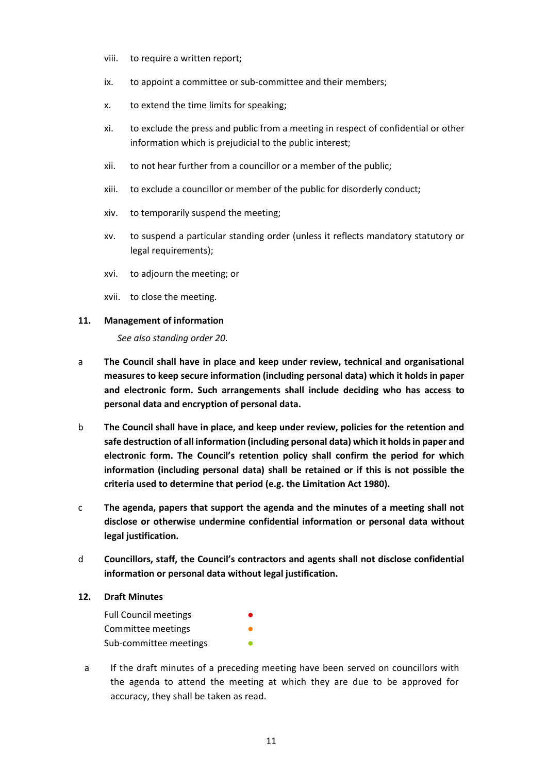- viii. to require a written report;
- ix. to appoint a committee or sub-committee and their members;
- x. to extend the time limits for speaking;
- xi. to exclude the press and public from a meeting in respect of confidential or other information which is prejudicial to the public interest;
- xii. to not hear further from a councillor or a member of the public;
- xiii. to exclude a councillor or member of the public for disorderly conduct;
- xiv. to temporarily suspend the meeting;
- xv. to suspend a particular standing order (unless it reflects mandatory statutory or legal requirements);
- xvi. to adjourn the meeting; or
- xvii. to close the meeting.

#### <span id="page-12-0"></span>**11. Management of information**

*See also standing order 20.*

- a **The Council shall have in place and keep under review, technical and organisational measures to keep secure information (including personal data) which it holds in paper and electronic form. Such arrangements shall include deciding who has access to personal data and encryption of personal data.**
- b **The Council shall have in place, and keep under review, policies for the retention and safe destruction of all information (including personal data) which it holds in paper and electronic form. The Council's retention policy shall confirm the period for which information (including personal data) shall be retained or if this is not possible the criteria used to determine that period (e.g. the Limitation Act 1980).**
- c **The agenda, papers that support the agenda and the minutes of a meeting shall not disclose or otherwise undermine confidential information or personal data without legal justification.**
- d **Councillors, staff, the Council's contractors and agents shall not disclose confidential information or personal data without legal justification.**

#### <span id="page-12-1"></span>**12. Draft Minutes**

- Full Council meetings Committee meetings Sub-committee meetings **•**
- a If the draft minutes of a preceding meeting have been served on councillors with the agenda to attend the meeting at which they are due to be approved for accuracy, they shall be taken as read.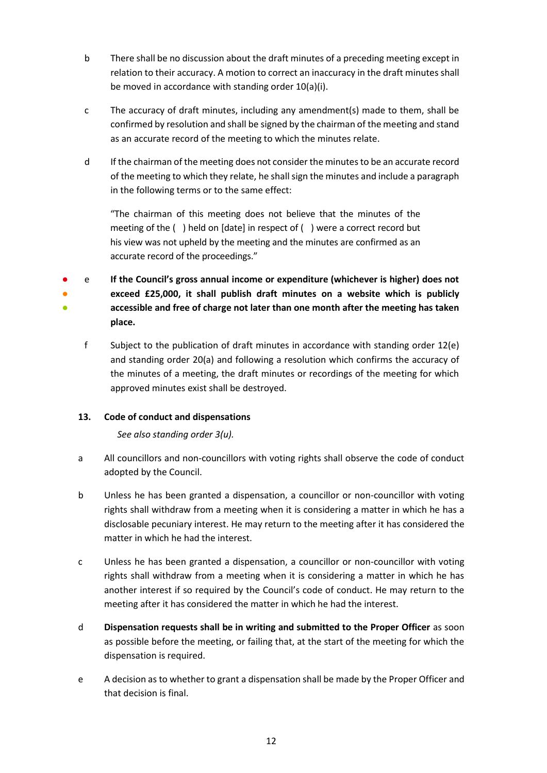- b There shall be no discussion about the draft minutes of a preceding meeting except in relation to their accuracy. A motion to correct an inaccuracy in the draft minutes shall be moved in accordance with standing order 10(a)(i).
- c The accuracy of draft minutes, including any amendment(s) made to them, shall be confirmed by resolution and shall be signed by the chairman of the meeting and stand as an accurate record of the meeting to which the minutes relate.
- d If the chairman of the meeting does not consider the minutes to be an accurate record of the meeting to which they relate, he shall sign the minutes and include a paragraph in the following terms or to the same effect:

"The chairman of this meeting does not believe that the minutes of the meeting of the ( ) held on [date] in respect of ( ) were a correct record but his view was not upheld by the meeting and the minutes are confirmed as an accurate record of the proceedings."

● ● ● e **If the Council's gross annual income or expenditure (whichever is higher) does not exceed £25,000, it shall publish draft minutes on a website which is publicly accessible and free of charge not later than one month after the meeting has taken place.**

f Subject to the publication of draft minutes in accordance with standing order 12(e) and standing order 20(a) and following a resolution which confirms the accuracy of the minutes of a meeting, the draft minutes or recordings of the meeting for which approved minutes exist shall be destroyed.

## <span id="page-13-0"></span>**13. Code of conduct and dispensations**

*See also standing order 3(u).*

- a All councillors and non-councillors with voting rights shall observe the code of conduct adopted by the Council.
- b Unless he has been granted a dispensation, a councillor or non-councillor with voting rights shall withdraw from a meeting when it is considering a matter in which he has a disclosable pecuniary interest. He may return to the meeting after it has considered the matter in which he had the interest.
- c Unless he has been granted a dispensation, a councillor or non-councillor with voting rights shall withdraw from a meeting when it is considering a matter in which he has another interest if so required by the Council's code of conduct. He may return to the meeting after it has considered the matter in which he had the interest.
- d **Dispensation requests shall be in writing and submitted to the Proper Officer** as soon as possible before the meeting, or failing that, at the start of the meeting for which the dispensation is required.
- e A decision as to whether to grant a dispensation shall be made by the Proper Officer and that decision is final.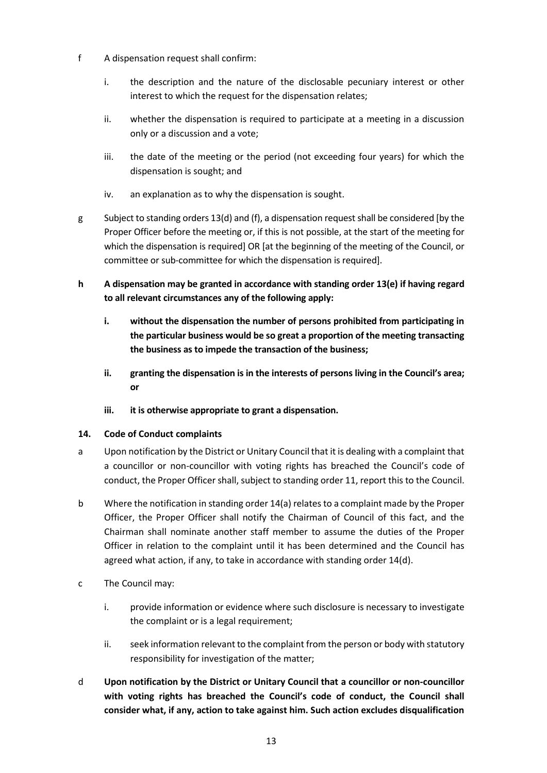- f A dispensation request shall confirm:
	- i. the description and the nature of the disclosable pecuniary interest or other interest to which the request for the dispensation relates;
	- ii. whether the dispensation is required to participate at a meeting in a discussion only or a discussion and a vote;
	- iii. the date of the meeting or the period (not exceeding four years) for which the dispensation is sought; and
	- iv. an explanation as to why the dispensation is sought.
- g Subject to standing orders 13(d) and (f), a dispensation requestshall be considered [by the Proper Officer before the meeting or, if this is not possible, at the start of the meeting for which the dispensation is required] OR [at the beginning of the meeting of the Council, or committee or sub-committee for which the dispensation is required].
- **h A dispensation may be granted in accordance with standing order 13(e) if having regard to all relevant circumstances any of the following apply:**
	- **i. without the dispensation the number of persons prohibited from participating in the particular business would be so great a proportion of the meeting transacting the business as to impede the transaction of the business;**
	- **ii. granting the dispensation is in the interests of persons living in the Council's area; or**
	- **iii. it is otherwise appropriate to grant a dispensation.**

# <span id="page-14-0"></span>**14. Code of Conduct complaints**

- a Upon notification by the District or Unitary Council that it is dealing with a complaint that a councillor or non-councillor with voting rights has breached the Council's code of conduct, the Proper Officer shall, subject to standing order 11, report this to the Council.
- b Where the notification in standing order 14(a) relates to a complaint made by the Proper Officer, the Proper Officer shall notify the Chairman of Council of this fact, and the Chairman shall nominate another staff member to assume the duties of the Proper Officer in relation to the complaint until it has been determined and the Council has agreed what action, if any, to take in accordance with standing order 14(d).
- c The Council may:
	- i. provide information or evidence where such disclosure is necessary to investigate the complaint or is a legal requirement;
	- ii. seek information relevant to the complaint from the person or body with statutory responsibility for investigation of the matter;
- d **Upon notification by the District or Unitary Council that a councillor or non-councillor with voting rights has breached the Council's code of conduct, the Council shall consider what, if any, action to take against him. Such action excludes disqualification**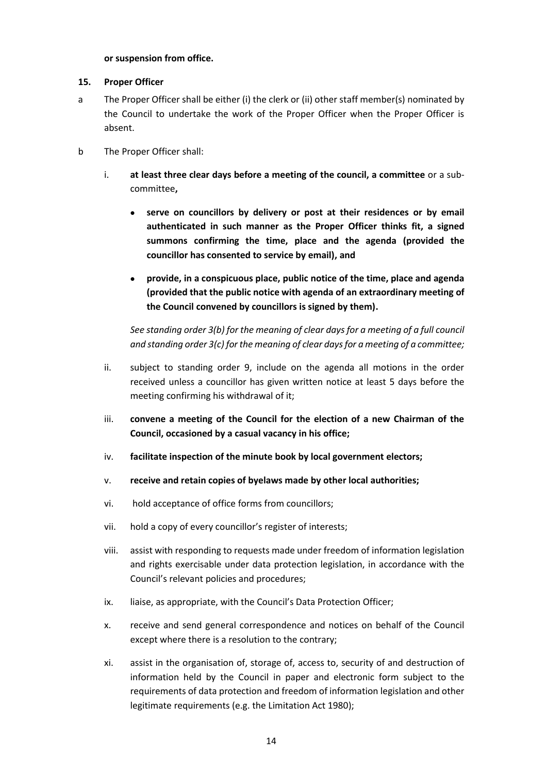#### **or suspension from office.**

#### <span id="page-15-0"></span>**15. Proper Officer**

- a The Proper Officer shall be either (i) the clerk or (ii) other staff member(s) nominated by the Council to undertake the work of the Proper Officer when the Proper Officer is absent.
- b The Proper Officer shall:
	- i. **at least three clear days before a meeting of the council, a committee** or a subcommittee**,**
		- **serve on councillors by delivery or post at their residences or by email authenticated in such manner as the Proper Officer thinks fit, a signed summons confirming the time, place and the agenda (provided the councillor has consented to service by email), and**
		- **provide, in a conspicuous place, public notice of the time, place and agenda (provided that the public notice with agenda of an extraordinary meeting of the Council convened by councillors is signed by them).**

*See standing order 3(b) for the meaning of clear days for a meeting of a full council and standing order 3(c) for the meaning of clear days for a meeting of a committee;*

- ii. subject to standing order 9, include on the agenda all motions in the order received unless a councillor has given written notice at least 5 days before the meeting confirming his withdrawal of it;
- iii. **convene a meeting of the Council for the election of a new Chairman of the Council, occasioned by a casual vacancy in his office;**
- iv. **facilitate inspection of the minute book by local government electors;**
- v. **receive and retain copies of byelaws made by other local authorities;**
- vi. hold acceptance of office forms from councillors;
- vii. hold a copy of every councillor's register of interests;
- viii. assist with responding to requests made under freedom of information legislation and rights exercisable under data protection legislation, in accordance with the Council's relevant policies and procedures;
- ix. liaise, as appropriate, with the Council's Data Protection Officer;
- x. receive and send general correspondence and notices on behalf of the Council except where there is a resolution to the contrary;
- xi. assist in the organisation of, storage of, access to, security of and destruction of information held by the Council in paper and electronic form subject to the requirements of data protection and freedom of information legislation and other legitimate requirements (e.g. the Limitation Act 1980);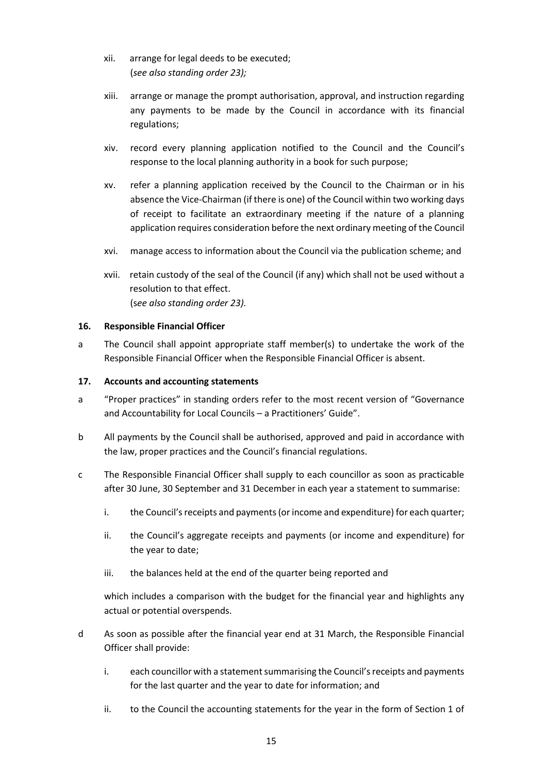- xii. arrange for legal deeds to be executed; (*see also standing order 23);*
- xiii. arrange or manage the prompt authorisation, approval, and instruction regarding any payments to be made by the Council in accordance with its financial regulations;
- xiv. record every planning application notified to the Council and the Council's response to the local planning authority in a book for such purpose;
- xv. refer a planning application received by the Council to the Chairman or in his absence the Vice-Chairman (if there is one) of the Council within two working days of receipt to facilitate an extraordinary meeting if the nature of a planning application requires consideration before the next ordinary meeting of the Council
- xvi. manage access to information about the Council via the publication scheme; and
- xvii. retain custody of the seal of the Council (if any) which shall not be used without a resolution to that effect. (s*ee also standing order 23).*

#### <span id="page-16-0"></span>**16. Responsible Financial Officer**

a The Council shall appoint appropriate staff member(s) to undertake the work of the Responsible Financial Officer when the Responsible Financial Officer is absent.

#### <span id="page-16-1"></span>**17. Accounts and accounting statements**

- a "Proper practices" in standing orders refer to the most recent version of "Governance and Accountability for Local Councils – a Practitioners' Guide".
- b All payments by the Council shall be authorised, approved and paid in accordance with the law, proper practices and the Council's financial regulations.
- c The Responsible Financial Officer shall supply to each councillor as soon as practicable after 30 June, 30 September and 31 December in each year a statement to summarise:
	- i. the Council's receipts and payments (or income and expenditure) for each quarter;
	- ii. the Council's aggregate receipts and payments (or income and expenditure) for the year to date;
	- iii. the balances held at the end of the quarter being reported and

which includes a comparison with the budget for the financial year and highlights any actual or potential overspends.

- d As soon as possible after the financial year end at 31 March, the Responsible Financial Officer shall provide:
	- i. each councillor with a statement summarising the Council's receipts and payments for the last quarter and the year to date for information; and
	- ii. to the Council the accounting statements for the year in the form of Section 1 of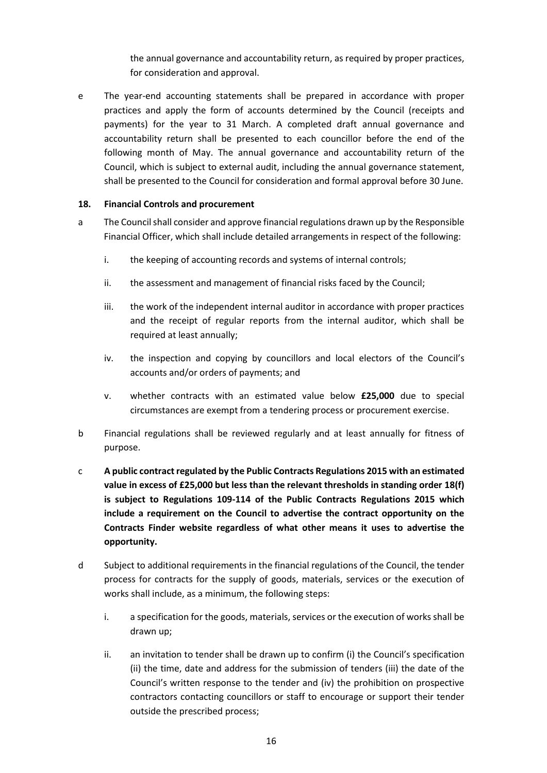the annual governance and accountability return, as required by proper practices, for consideration and approval.

e The year-end accounting statements shall be prepared in accordance with proper practices and apply the form of accounts determined by the Council (receipts and payments) for the year to 31 March. A completed draft annual governance and accountability return shall be presented to each councillor before the end of the following month of May. The annual governance and accountability return of the Council, which is subject to external audit, including the annual governance statement, shall be presented to the Council for consideration and formal approval before 30 June.

#### <span id="page-17-0"></span>**18. Financial Controls and procurement**

- a The Council shall consider and approve financial regulations drawn up by the Responsible Financial Officer, which shall include detailed arrangements in respect of the following:
	- i. the keeping of accounting records and systems of internal controls;
	- ii. the assessment and management of financial risks faced by the Council;
	- iii. the work of the independent internal auditor in accordance with proper practices and the receipt of regular reports from the internal auditor, which shall be required at least annually;
	- iv. the inspection and copying by councillors and local electors of the Council's accounts and/or orders of payments; and
	- v. whether contracts with an estimated value below **£25,000** due to special circumstances are exempt from a tendering process or procurement exercise.
- b Financial regulations shall be reviewed regularly and at least annually for fitness of purpose.
- c **A public contract regulated by the Public Contracts Regulations 2015 with an estimated value in excess of £25,000 but less than the relevant thresholds in standing order 18(f) is subject to Regulations 109-114 of the Public Contracts Regulations 2015 which include a requirement on the Council to advertise the contract opportunity on the Contracts Finder website regardless of what other means it uses to advertise the opportunity.**
- d Subject to additional requirements in the financial regulations of the Council, the tender process for contracts for the supply of goods, materials, services or the execution of works shall include, as a minimum, the following steps:
	- i. a specification for the goods, materials, services or the execution of works shall be drawn up;
	- ii. an invitation to tender shall be drawn up to confirm (i) the Council's specification (ii) the time, date and address for the submission of tenders (iii) the date of the Council's written response to the tender and (iv) the prohibition on prospective contractors contacting councillors or staff to encourage or support their tender outside the prescribed process;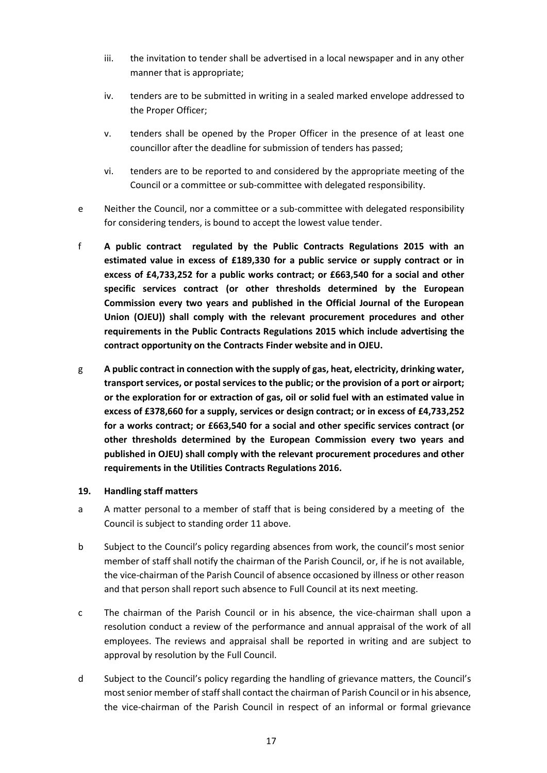- iii. the invitation to tender shall be advertised in a local newspaper and in any other manner that is appropriate;
- iv. tenders are to be submitted in writing in a sealed marked envelope addressed to the Proper Officer;
- v. tenders shall be opened by the Proper Officer in the presence of at least one councillor after the deadline for submission of tenders has passed;
- vi. tenders are to be reported to and considered by the appropriate meeting of the Council or a committee or sub-committee with delegated responsibility.
- e Neither the Council, nor a committee or a sub-committee with delegated responsibility for considering tenders, is bound to accept the lowest value tender.
- f **A public contract regulated by the Public Contracts Regulations 2015 with an estimated value in excess of £189,330 for a public service or supply contract or in excess of £4,733,252 for a public works contract; or £663,540 for a social and other specific services contract (or other thresholds determined by the European Commission every two years and published in the Official Journal of the European Union (OJEU)) shall comply with the relevant procurement procedures and other requirements in the Public Contracts Regulations 2015 which include advertising the contract opportunity on the Contracts Finder website and in OJEU.**
- <span id="page-18-0"></span>g **A public contract in connection with the supply of gas, heat, electricity, drinking water, transport services, or postal services to the public; or the provision of a port or airport; or the exploration for or extraction of gas, oil or solid fuel with an estimated value in excess of £378,660 for a supply, services or design contract; or in excess of £4,733,252 for a works contract; or £663,540 for a social and other specific services contract (or other thresholds determined by the European Commission every two years and published in OJEU) shall comply with the relevant procurement procedures and other requirements in the Utilities Contracts Regulations 2016.**

#### **19. Handling staff matters**

- a A matter personal to a member of staff that is being considered by a meeting of the Council is subject to standing order 11 above.
- b Subject to the Council's policy regarding absences from work, the council's most senior member of staff shall notify the chairman of the Parish Council, or, if he is not available, the vice-chairman of the Parish Council of absence occasioned by illness or other reason and that person shall report such absence to Full Council at its next meeting.
- c The chairman of the Parish Council or in his absence, the vice-chairman shall upon a resolution conduct a review of the performance and annual appraisal of the work of all employees. The reviews and appraisal shall be reported in writing and are subject to approval by resolution by the Full Council.
- d Subject to the Council's policy regarding the handling of grievance matters, the Council's most senior member of staff shall contact the chairman of Parish Council or in his absence, the vice-chairman of the Parish Council in respect of an informal or formal grievance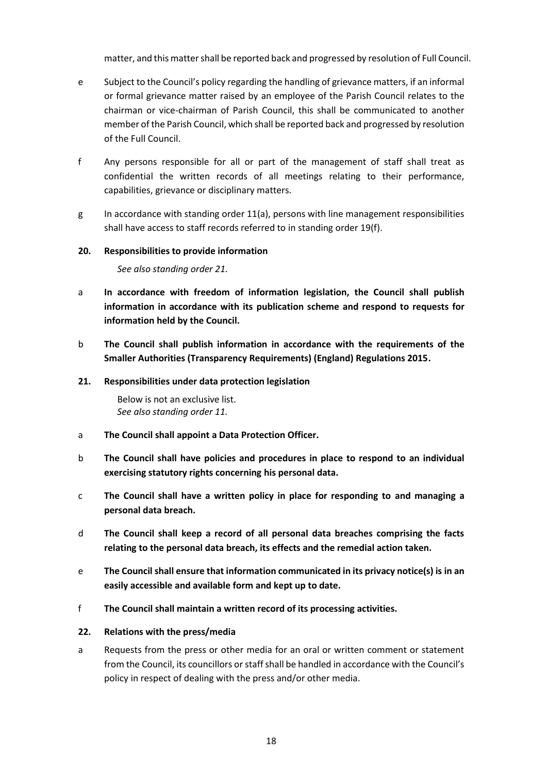matter, and this matter shall be reported back and progressed by resolution of Full Council.

- e Subject to the Council's policy regarding the handling of grievance matters, if an informal or formal grievance matter raised by an employee of the Parish Council relates to the chairman or vice-chairman of Parish Council, this shall be communicated to another member of the Parish Council, which shall be reported back and progressed by resolution of the Full Council.
- f Any persons responsible for all or part of the management of staff shall treat as confidential the written records of all meetings relating to their performance, capabilities, grievance or disciplinary matters.
- g In accordance with standing order 11(a), persons with line management responsibilities shall have access to staff records referred to in standing order 19(f).

#### <span id="page-19-0"></span>**20. Responsibilities to provide information**

*See also standing order 21.*

- a **In accordance with freedom of information legislation, the Council shall publish information in accordance with its publication scheme and respond to requests for information held by the Council.**
- b **The Council shall publish information in accordance with the requirements of the Smaller Authorities (Transparency Requirements) (England) Regulations 2015.**

#### <span id="page-19-1"></span>**21. Responsibilities under data protection legislation**

Below is not an exclusive list. *See also standing order 11.*

- a **The Council shall appoint a Data Protection Officer.**
- b **The Council shall have policies and procedures in place to respond to an individual exercising statutory rights concerning his personal data.**
- c **The Council shall have a written policy in place for responding to and managing a personal data breach.**
- d **The Council shall keep a record of all personal data breaches comprising the facts relating to the personal data breach, its effects and the remedial action taken.**
- e **The Council shall ensure that information communicated in its privacy notice(s) is in an easily accessible and available form and kept up to date.**
- f **The Council shall maintain a written record of its processing activities.**

## <span id="page-19-2"></span>**22. Relations with the press/media**

a Requests from the press or other media for an oral or written comment or statement from the Council, its councillors or staff shall be handled in accordance with the Council's policy in respect of dealing with the press and/or other media.